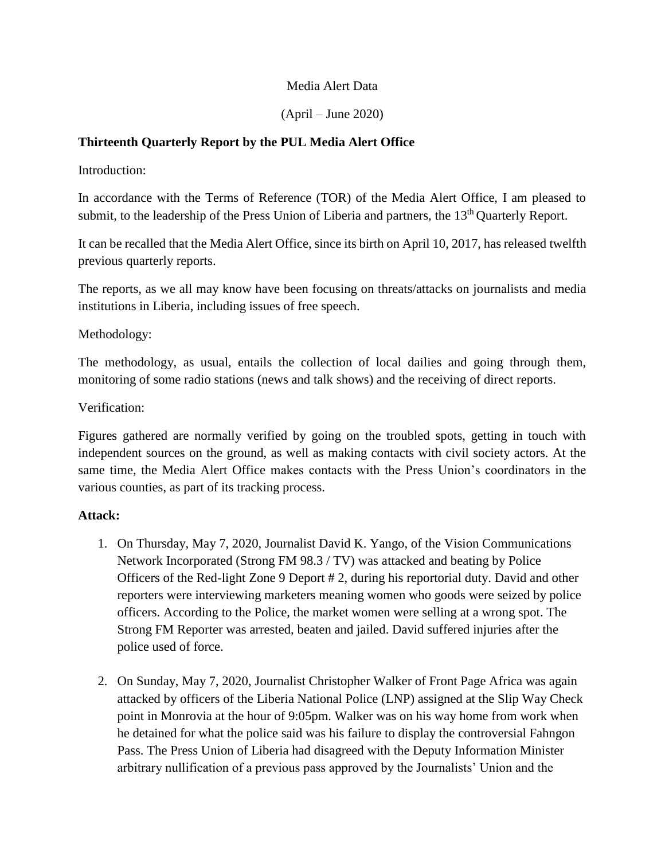## Media Alert Data

(April – June 2020)

### **Thirteenth Quarterly Report by the PUL Media Alert Office**

Introduction:

In accordance with the Terms of Reference (TOR) of the Media Alert Office, I am pleased to submit, to the leadership of the Press Union of Liberia and partners, the 13<sup>th</sup> Quarterly Report.

It can be recalled that the Media Alert Office, since its birth on April 10, 2017, has released twelfth previous quarterly reports.

The reports, as we all may know have been focusing on threats/attacks on journalists and media institutions in Liberia, including issues of free speech.

Methodology:

The methodology, as usual, entails the collection of local dailies and going through them, monitoring of some radio stations (news and talk shows) and the receiving of direct reports.

#### Verification:

Figures gathered are normally verified by going on the troubled spots, getting in touch with independent sources on the ground, as well as making contacts with civil society actors. At the same time, the Media Alert Office makes contacts with the Press Union's coordinators in the various counties, as part of its tracking process.

#### **Attack:**

- 1. On Thursday, May 7, 2020, Journalist David K. Yango, of the Vision Communications Network Incorporated (Strong FM 98.3 / TV) was attacked and beating by Police Officers of the Red-light Zone 9 Deport # 2, during his reportorial duty. David and other reporters were interviewing marketers meaning women who goods were seized by police officers. According to the Police, the market women were selling at a wrong spot. The Strong FM Reporter was arrested, beaten and jailed. David suffered injuries after the police used of force.
- 2. On Sunday, May 7, 2020, Journalist Christopher Walker of Front Page Africa was again attacked by officers of the Liberia National Police (LNP) assigned at the Slip Way Check point in Monrovia at the hour of 9:05pm. Walker was on his way home from work when he detained for what the police said was his failure to display the controversial Fahngon Pass. The Press Union of Liberia had disagreed with the Deputy Information Minister arbitrary nullification of a previous pass approved by the Journalists' Union and the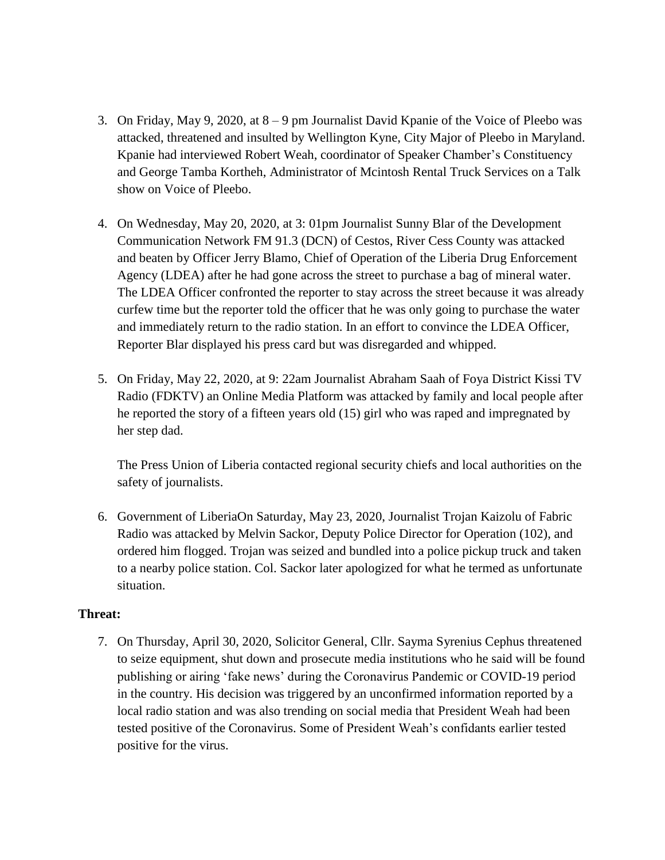- 3. On Friday, May 9, 2020, at 8 9 pm Journalist David Kpanie of the Voice of Pleebo was attacked, threatened and insulted by Wellington Kyne, City Major of Pleebo in Maryland. Kpanie had interviewed Robert Weah, coordinator of Speaker Chamber's Constituency and George Tamba Kortheh, Administrator of Mcintosh Rental Truck Services on a Talk show on Voice of Pleebo.
- 4. On Wednesday, May 20, 2020, at 3: 01pm Journalist Sunny Blar of the Development Communication Network FM 91.3 (DCN) of Cestos, River Cess County was attacked and beaten by Officer Jerry Blamo, Chief of Operation of the Liberia Drug Enforcement Agency (LDEA) after he had gone across the street to purchase a bag of mineral water. The LDEA Officer confronted the reporter to stay across the street because it was already curfew time but the reporter told the officer that he was only going to purchase the water and immediately return to the radio station. In an effort to convince the LDEA Officer, Reporter Blar displayed his press card but was disregarded and whipped.
- 5. On Friday, May 22, 2020, at 9: 22am Journalist Abraham Saah of Foya District Kissi TV Radio (FDKTV) an Online Media Platform was attacked by family and local people after he reported the story of a fifteen years old (15) girl who was raped and impregnated by her step dad.

The Press Union of Liberia contacted regional security chiefs and local authorities on the safety of journalists.

6. Government of LiberiaOn Saturday, May 23, 2020, Journalist Trojan Kaizolu of Fabric Radio was attacked by Melvin Sackor, Deputy Police Director for Operation (102), and ordered him flogged. Trojan was seized and bundled into a police pickup truck and taken to a nearby police station. Col. Sackor later apologized for what he termed as unfortunate situation.

#### **Threat:**

7. On Thursday, April 30, 2020, Solicitor General, Cllr. Sayma Syrenius Cephus threatened to seize equipment, shut down and prosecute media institutions who he said will be found publishing or airing 'fake news' during the Coronavirus Pandemic or COVID-19 period in the country. His decision was triggered by an unconfirmed information reported by a local radio station and was also trending on social media that President Weah had been tested positive of the Coronavirus. Some of President Weah's confidants earlier tested positive for the virus.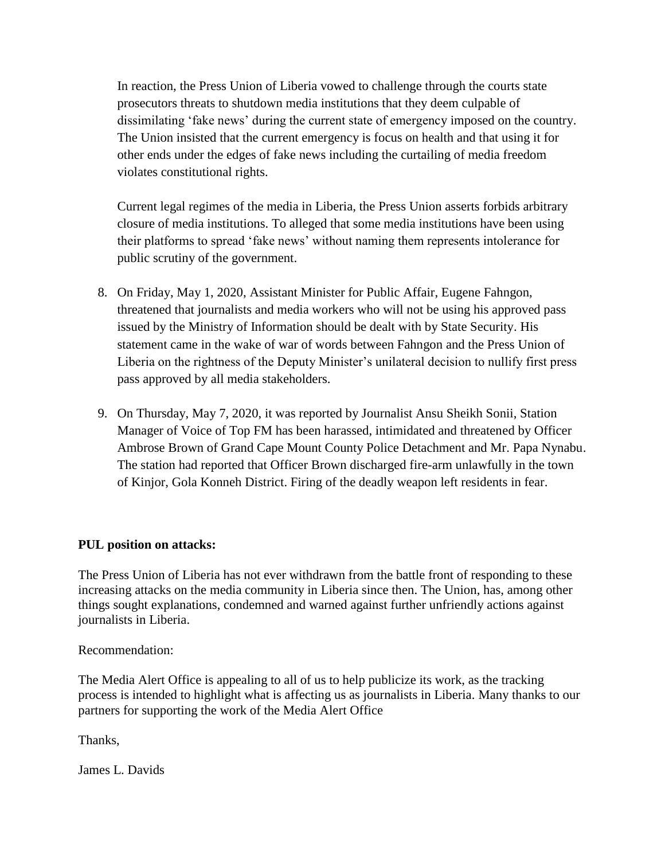In reaction, the Press Union of Liberia vowed to challenge through the courts state prosecutors threats to shutdown media institutions that they deem culpable of dissimilating 'fake news' during the current state of emergency imposed on the country. The Union insisted that the current emergency is focus on health and that using it for other ends under the edges of fake news including the curtailing of media freedom violates constitutional rights.

Current legal regimes of the media in Liberia, the Press Union asserts forbids arbitrary closure of media institutions. To alleged that some media institutions have been using their platforms to spread 'fake news' without naming them represents intolerance for public scrutiny of the government.

- 8. On Friday, May 1, 2020, Assistant Minister for Public Affair, Eugene Fahngon, threatened that journalists and media workers who will not be using his approved pass issued by the Ministry of Information should be dealt with by State Security. His statement came in the wake of war of words between Fahngon and the Press Union of Liberia on the rightness of the Deputy Minister's unilateral decision to nullify first press pass approved by all media stakeholders.
- 9. On Thursday, May 7, 2020, it was reported by Journalist Ansu Sheikh Sonii, Station Manager of Voice of Top FM has been harassed, intimidated and threatened by Officer Ambrose Brown of Grand Cape Mount County Police Detachment and Mr. Papa Nynabu. The station had reported that Officer Brown discharged fire-arm unlawfully in the town of Kinjor, Gola Konneh District. Firing of the deadly weapon left residents in fear.

## **PUL position on attacks:**

The Press Union of Liberia has not ever withdrawn from the battle front of responding to these increasing attacks on the media community in Liberia since then. The Union, has, among other things sought explanations, condemned and warned against further unfriendly actions against journalists in Liberia.

Recommendation:

The Media Alert Office is appealing to all of us to help publicize its work, as the tracking process is intended to highlight what is affecting us as journalists in Liberia. Many thanks to our partners for supporting the work of the Media Alert Office

Thanks,

James L. Davids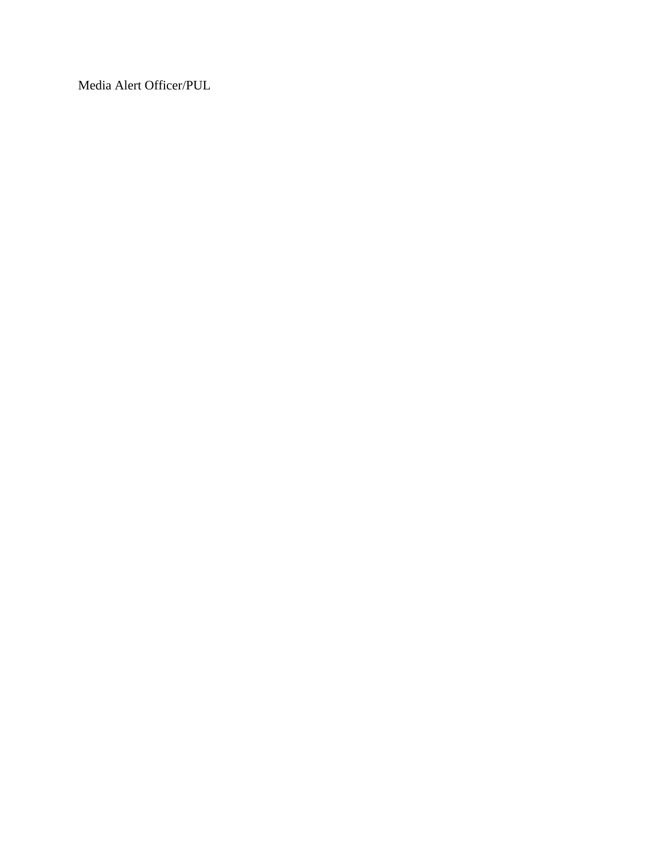Media Alert Officer/PUL